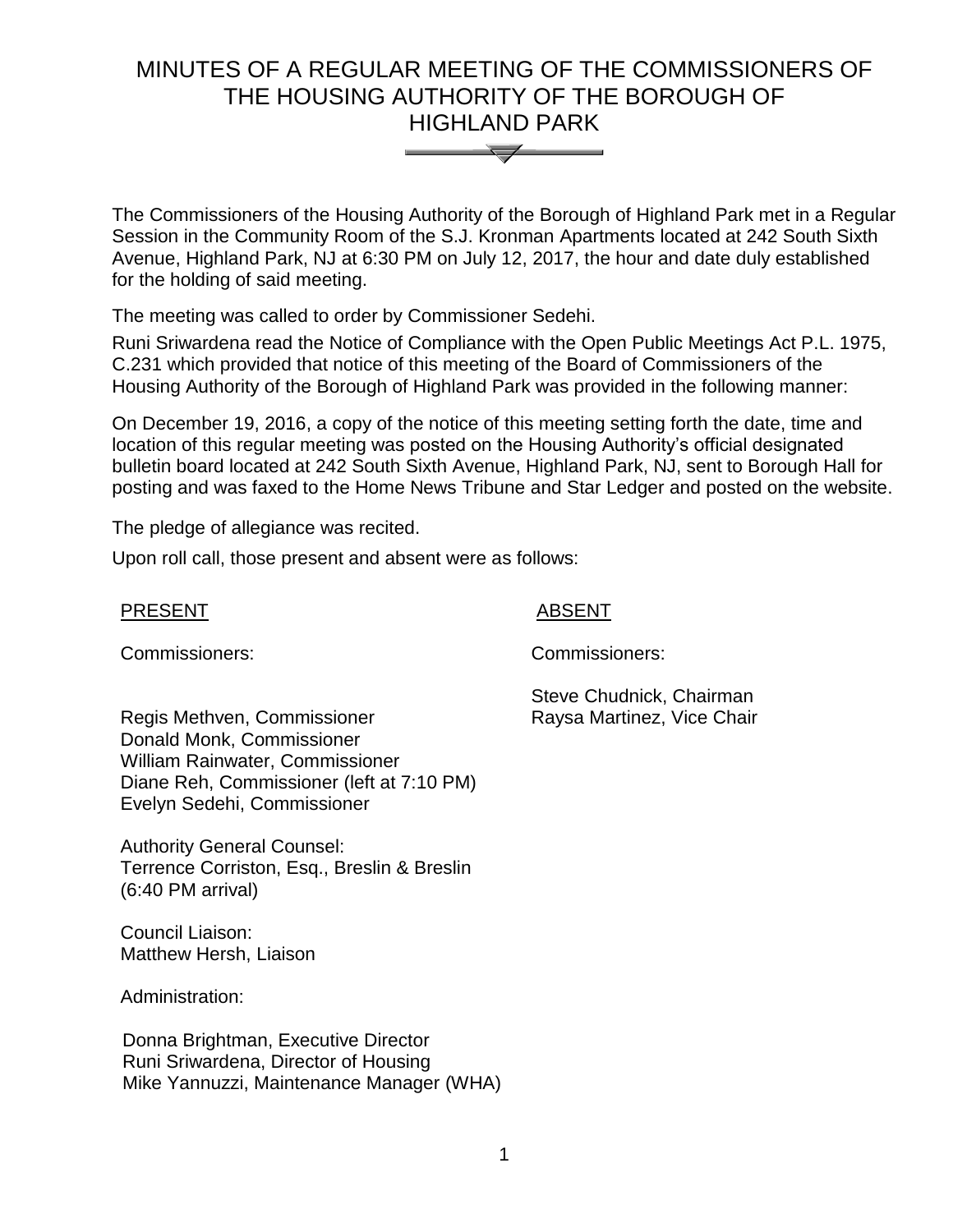# MINUTES OF A REGULAR MEETING OF THE COMMISSIONERS OF THE HOUSING AUTHORITY OF THE BOROUGH OF HIGHLAND PARK



The Commissioners of the Housing Authority of the Borough of Highland Park met in a Regular Session in the Community Room of the S.J. Kronman Apartments located at 242 South Sixth Avenue, Highland Park, NJ at 6:30 PM on July 12, 2017, the hour and date duly established for the holding of said meeting.

The meeting was called to order by Commissioner Sedehi.

Runi Sriwardena read the Notice of Compliance with the Open Public Meetings Act P.L. 1975, C.231 which provided that notice of this meeting of the Board of Commissioners of the Housing Authority of the Borough of Highland Park was provided in the following manner:

On December 19, 2016, a copy of the notice of this meeting setting forth the date, time and location of this regular meeting was posted on the Housing Authority's official designated bulletin board located at 242 South Sixth Avenue, Highland Park, NJ, sent to Borough Hall for posting and was faxed to the Home News Tribune and Star Ledger and posted on the website.

The pledge of allegiance was recited.

Upon roll call, those present and absent were as follows:

#### PRESENT ABSENT

Commissioners: Commissioners:

Steve Chudnick, Chairman Raysa Martinez, Vice Chair

Regis Methven, Commissioner Donald Monk, Commissioner William Rainwater, Commissioner Diane Reh, Commissioner (left at 7:10 PM) Evelyn Sedehi, Commissioner

Authority General Counsel: Terrence Corriston, Esq., Breslin & Breslin (6:40 PM arrival)

Council Liaison: Matthew Hersh, Liaison

Administration:

 Donna Brightman, Executive Director Runi Sriwardena, Director of Housing Mike Yannuzzi, Maintenance Manager (WHA)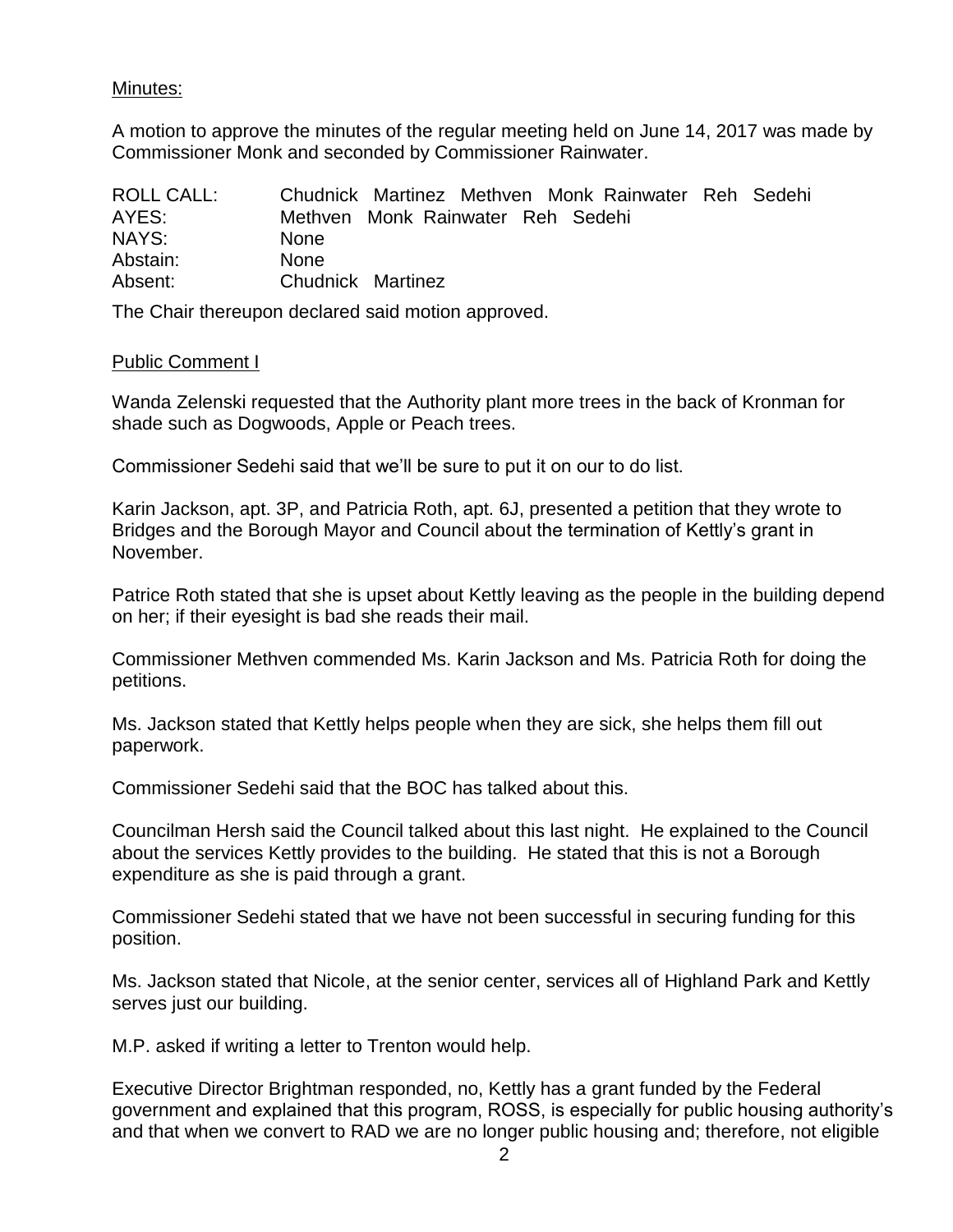# Minutes:

A motion to approve the minutes of the regular meeting held on June 14, 2017 was made by Commissioner Monk and seconded by Commissioner Rainwater.

| <b>ROLL CALL:</b> |                   | Chudnick Martinez Methyen Monk Rainwater Reh Sedehi |  |  |  |
|-------------------|-------------------|-----------------------------------------------------|--|--|--|
| AYES:             |                   | Methven Monk Rainwater Reh Sedehi                   |  |  |  |
| NAYS:             | <b>None</b>       |                                                     |  |  |  |
| Abstain:          | <b>None</b>       |                                                     |  |  |  |
| Absent:           | Chudnick Martinez |                                                     |  |  |  |

The Chair thereupon declared said motion approved.

#### Public Comment I

Wanda Zelenski requested that the Authority plant more trees in the back of Kronman for shade such as Dogwoods, Apple or Peach trees.

Commissioner Sedehi said that we'll be sure to put it on our to do list.

Karin Jackson, apt. 3P, and Patricia Roth, apt. 6J, presented a petition that they wrote to Bridges and the Borough Mayor and Council about the termination of Kettly's grant in November.

Patrice Roth stated that she is upset about Kettly leaving as the people in the building depend on her; if their eyesight is bad she reads their mail.

Commissioner Methven commended Ms. Karin Jackson and Ms. Patricia Roth for doing the petitions.

Ms. Jackson stated that Kettly helps people when they are sick, she helps them fill out paperwork.

Commissioner Sedehi said that the BOC has talked about this.

Councilman Hersh said the Council talked about this last night. He explained to the Council about the services Kettly provides to the building. He stated that this is not a Borough expenditure as she is paid through a grant.

Commissioner Sedehi stated that we have not been successful in securing funding for this position.

Ms. Jackson stated that Nicole, at the senior center, services all of Highland Park and Kettly serves just our building.

M.P. asked if writing a letter to Trenton would help.

Executive Director Brightman responded, no, Kettly has a grant funded by the Federal government and explained that this program, ROSS, is especially for public housing authority's and that when we convert to RAD we are no longer public housing and; therefore, not eligible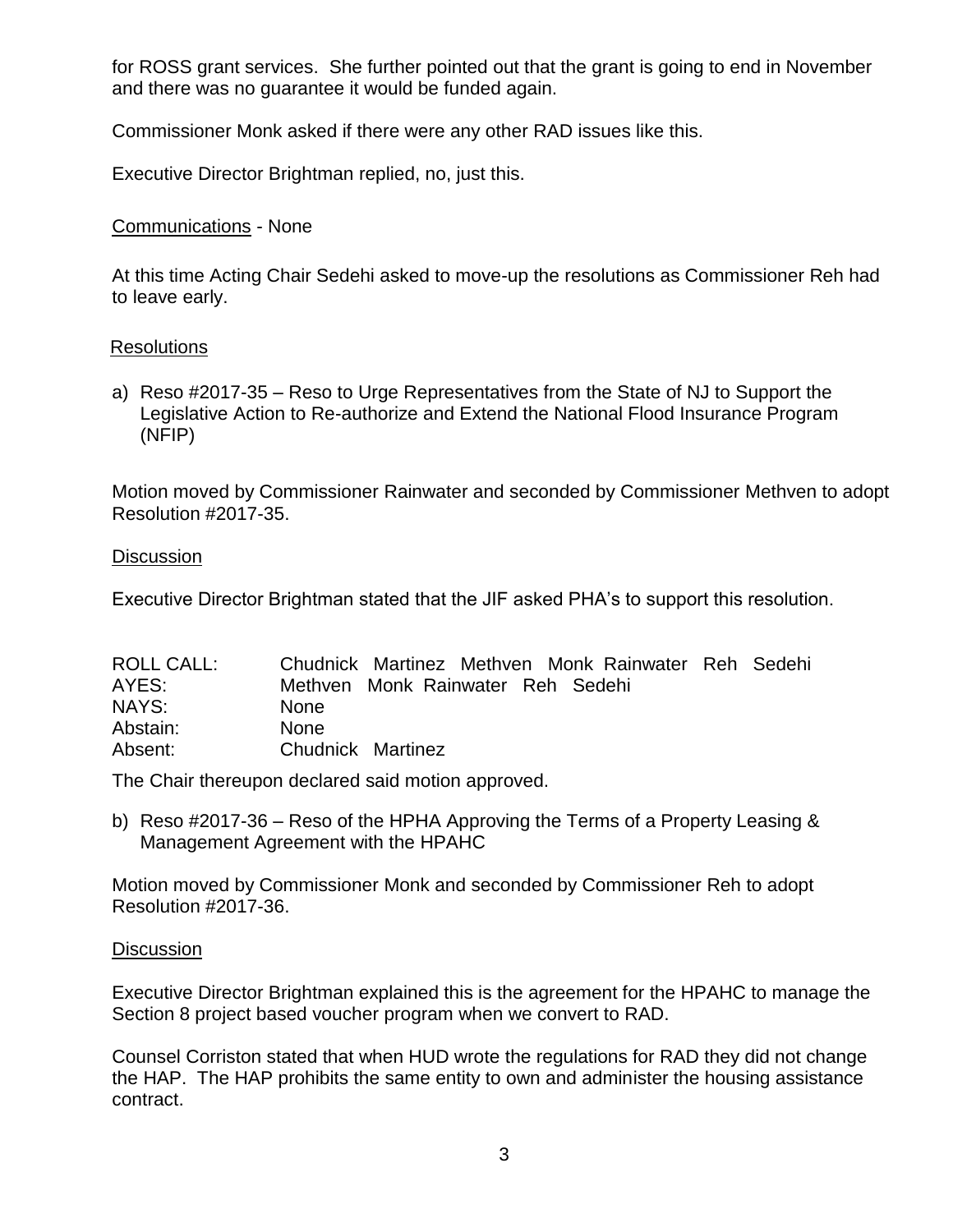for ROSS grant services. She further pointed out that the grant is going to end in November and there was no guarantee it would be funded again.

Commissioner Monk asked if there were any other RAD issues like this.

Executive Director Brightman replied, no, just this.

# Communications - None

At this time Acting Chair Sedehi asked to move-up the resolutions as Commissioner Reh had to leave early.

# Resolutions

a) Reso #2017-35 – Reso to Urge Representatives from the State of NJ to Support the Legislative Action to Re-authorize and Extend the National Flood Insurance Program (NFIP)

Motion moved by Commissioner Rainwater and seconded by Commissioner Methven to adopt Resolution #2017-35.

# **Discussion**

Executive Director Brightman stated that the JIF asked PHA's to support this resolution.

| ROLL CALL: |                   |                                   | Chudnick Martinez Methven Monk Rainwater Reh Sedehi |  |
|------------|-------------------|-----------------------------------|-----------------------------------------------------|--|
| AYES:      |                   | Methven Monk Rainwater Reh Sedehi |                                                     |  |
| NAYS:      | <b>None</b>       |                                   |                                                     |  |
| Abstain:   | <b>None</b>       |                                   |                                                     |  |
| Absent:    | Chudnick Martinez |                                   |                                                     |  |

The Chair thereupon declared said motion approved.

b) Reso #2017-36 – Reso of the HPHA Approving the Terms of a Property Leasing & Management Agreement with the HPAHC

Motion moved by Commissioner Monk and seconded by Commissioner Reh to adopt Resolution #2017-36.

# **Discussion**

Executive Director Brightman explained this is the agreement for the HPAHC to manage the Section 8 project based voucher program when we convert to RAD.

Counsel Corriston stated that when HUD wrote the regulations for RAD they did not change the HAP. The HAP prohibits the same entity to own and administer the housing assistance contract.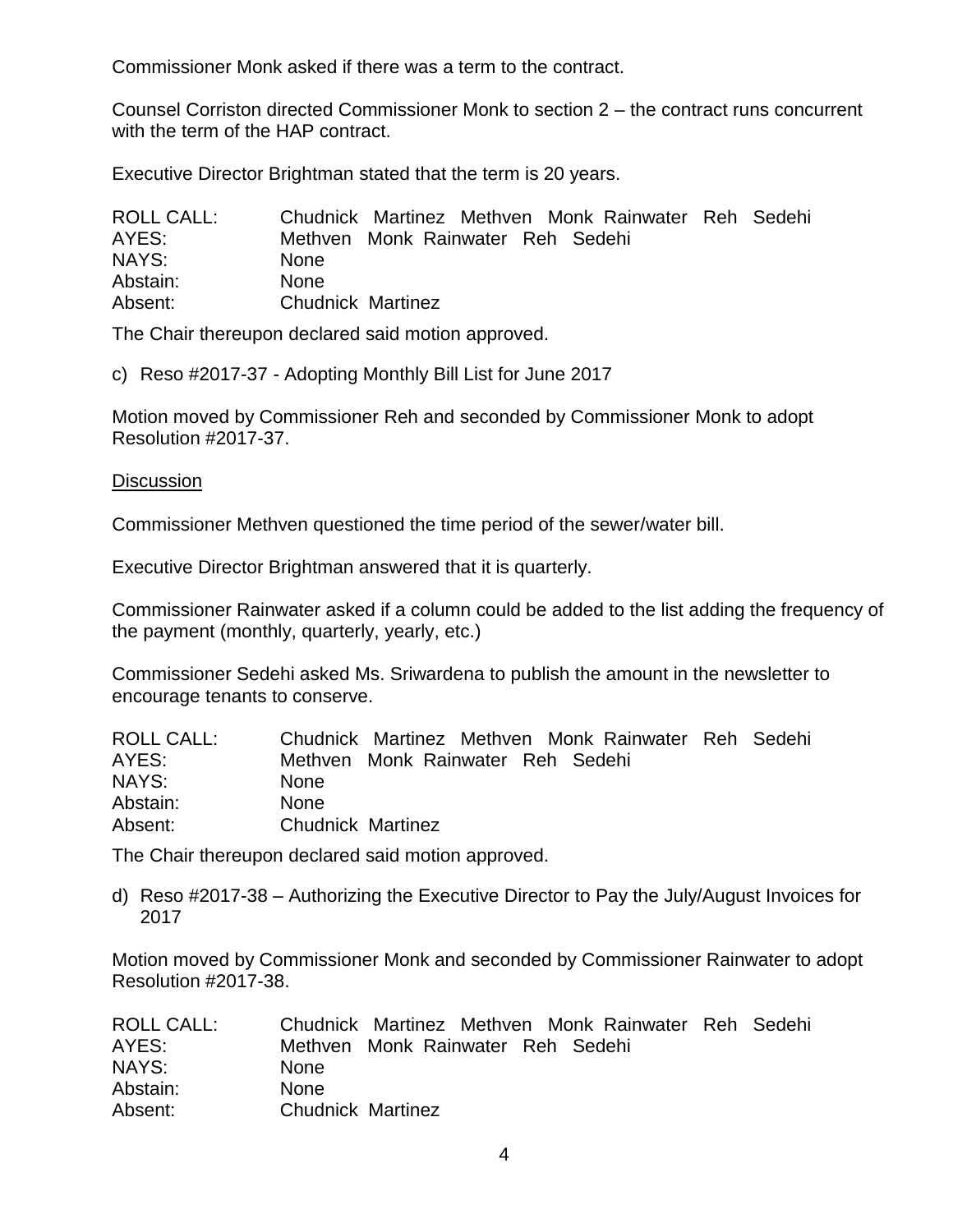Commissioner Monk asked if there was a term to the contract.

Counsel Corriston directed Commissioner Monk to section 2 – the contract runs concurrent with the term of the HAP contract.

Executive Director Brightman stated that the term is 20 years.

| <b>ROLL CALL:</b> |                          |                                   |  | Chudnick Martinez Methven Monk Rainwater Reh Sedehi |  |
|-------------------|--------------------------|-----------------------------------|--|-----------------------------------------------------|--|
| AYES:             |                          | Methven Monk Rainwater Reh Sedehi |  |                                                     |  |
| NAYS:             | <b>None</b>              |                                   |  |                                                     |  |
| Abstain:          | <b>None</b>              |                                   |  |                                                     |  |
| Absent:           | <b>Chudnick Martinez</b> |                                   |  |                                                     |  |

The Chair thereupon declared said motion approved.

c) Reso #2017-37 - Adopting Monthly Bill List for June 2017

Motion moved by Commissioner Reh and seconded by Commissioner Monk to adopt Resolution #2017-37.

#### **Discussion**

Commissioner Methven questioned the time period of the sewer/water bill.

Executive Director Brightman answered that it is quarterly.

Commissioner Rainwater asked if a column could be added to the list adding the frequency of the payment (monthly, quarterly, yearly, etc.)

Commissioner Sedehi asked Ms. Sriwardena to publish the amount in the newsletter to encourage tenants to conserve.

| <b>ROLL CALL:</b> |                                   |  | Chudnick Martinez Methven Monk Rainwater Reh Sedehi |  |
|-------------------|-----------------------------------|--|-----------------------------------------------------|--|
| AYES:             | Methven Monk Rainwater Reh Sedehi |  |                                                     |  |
| NAYS:             | <b>None</b>                       |  |                                                     |  |
| Abstain:          | <b>None</b>                       |  |                                                     |  |
| Absent:           | <b>Chudnick Martinez</b>          |  |                                                     |  |

The Chair thereupon declared said motion approved.

d) Reso #2017-38 – Authorizing the Executive Director to Pay the July/August Invoices for 2017

Motion moved by Commissioner Monk and seconded by Commissioner Rainwater to adopt Resolution #2017-38.

| <b>ROLL CALL:</b> | Chudnick Martinez Methven Monk Rainwater Reh Sedehi |
|-------------------|-----------------------------------------------------|
| AYES:             | Methven Monk Rainwater Reh Sedehi                   |
| NAYS:             | <b>None</b>                                         |
| Abstain:          | <b>None</b>                                         |
| Absent:           | <b>Chudnick Martinez</b>                            |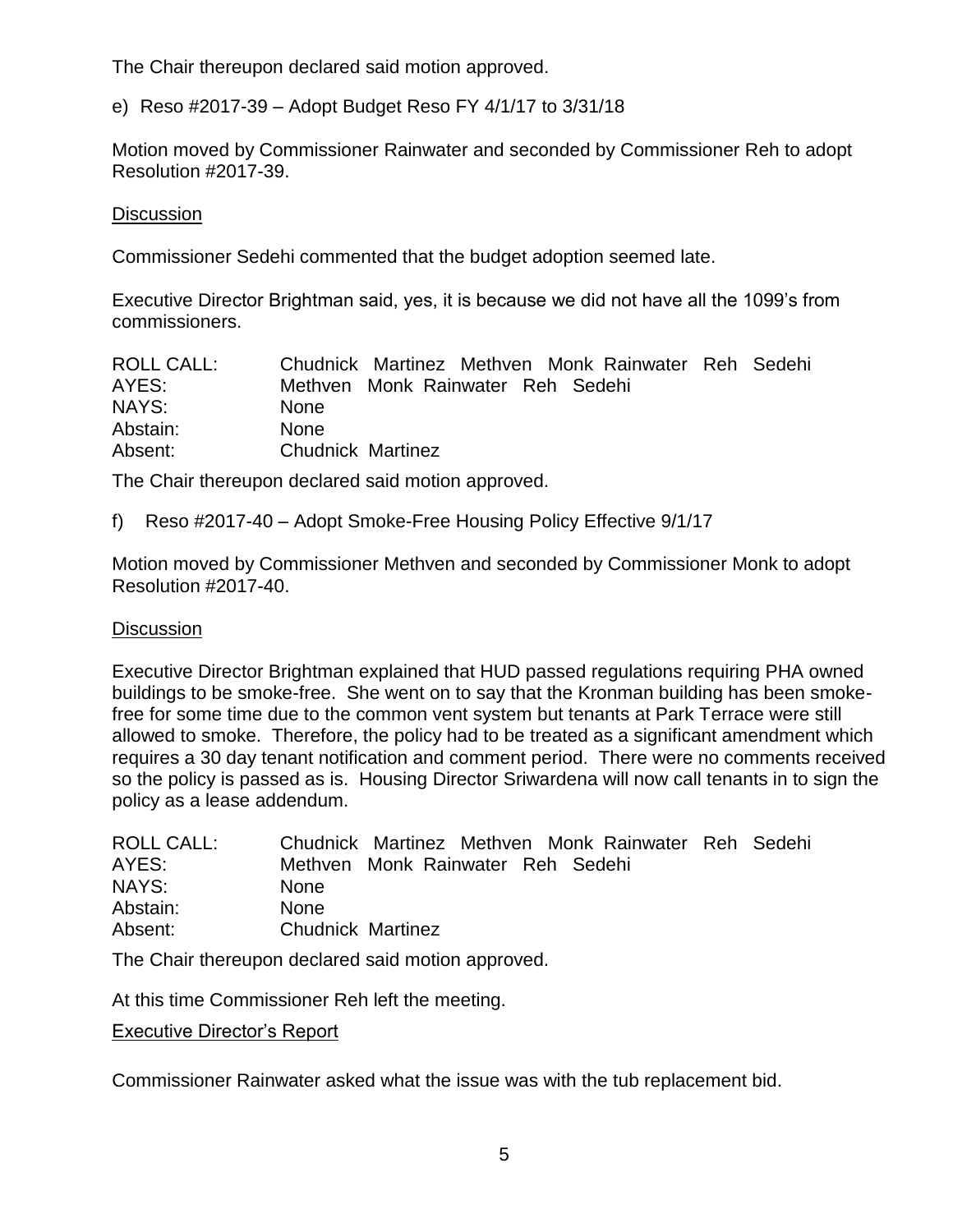The Chair thereupon declared said motion approved.

e) Reso #2017-39 – Adopt Budget Reso FY 4/1/17 to 3/31/18

Motion moved by Commissioner Rainwater and seconded by Commissioner Reh to adopt Resolution #2017-39.

# **Discussion**

Commissioner Sedehi commented that the budget adoption seemed late.

Executive Director Brightman said, yes, it is because we did not have all the 1099's from commissioners.

| <b>ROLL CALL:</b> |                          |                                   | Chudnick Martinez Methven Monk Rainwater Reh Sedehi |  |
|-------------------|--------------------------|-----------------------------------|-----------------------------------------------------|--|
| AYES:             |                          | Methven Monk Rainwater Reh Sedehi |                                                     |  |
| NAYS:             | <b>None</b>              |                                   |                                                     |  |
| Abstain:          | <b>None</b>              |                                   |                                                     |  |
| Absent:           | <b>Chudnick Martinez</b> |                                   |                                                     |  |

The Chair thereupon declared said motion approved.

f) Reso #2017-40 – Adopt Smoke-Free Housing Policy Effective 9/1/17

Motion moved by Commissioner Methven and seconded by Commissioner Monk to adopt Resolution #2017-40.

# **Discussion**

Executive Director Brightman explained that HUD passed regulations requiring PHA owned buildings to be smoke-free. She went on to say that the Kronman building has been smokefree for some time due to the common vent system but tenants at Park Terrace were still allowed to smoke. Therefore, the policy had to be treated as a significant amendment which requires a 30 day tenant notification and comment period. There were no comments received so the policy is passed as is. Housing Director Sriwardena will now call tenants in to sign the policy as a lease addendum.

| ROLL CALL: |                          | Chudnick Martinez Methven Monk Rainwater Reh Sedehi |  |  |  |
|------------|--------------------------|-----------------------------------------------------|--|--|--|
| AYES:      |                          | Methven Monk Rainwater Reh Sedehi                   |  |  |  |
| NAYS:      | <b>None</b>              |                                                     |  |  |  |
| Abstain:   | <b>None</b>              |                                                     |  |  |  |
| Absent:    | <b>Chudnick Martinez</b> |                                                     |  |  |  |
|            |                          |                                                     |  |  |  |

The Chair thereupon declared said motion approved.

At this time Commissioner Reh left the meeting.

Executive Director's Report

Commissioner Rainwater asked what the issue was with the tub replacement bid.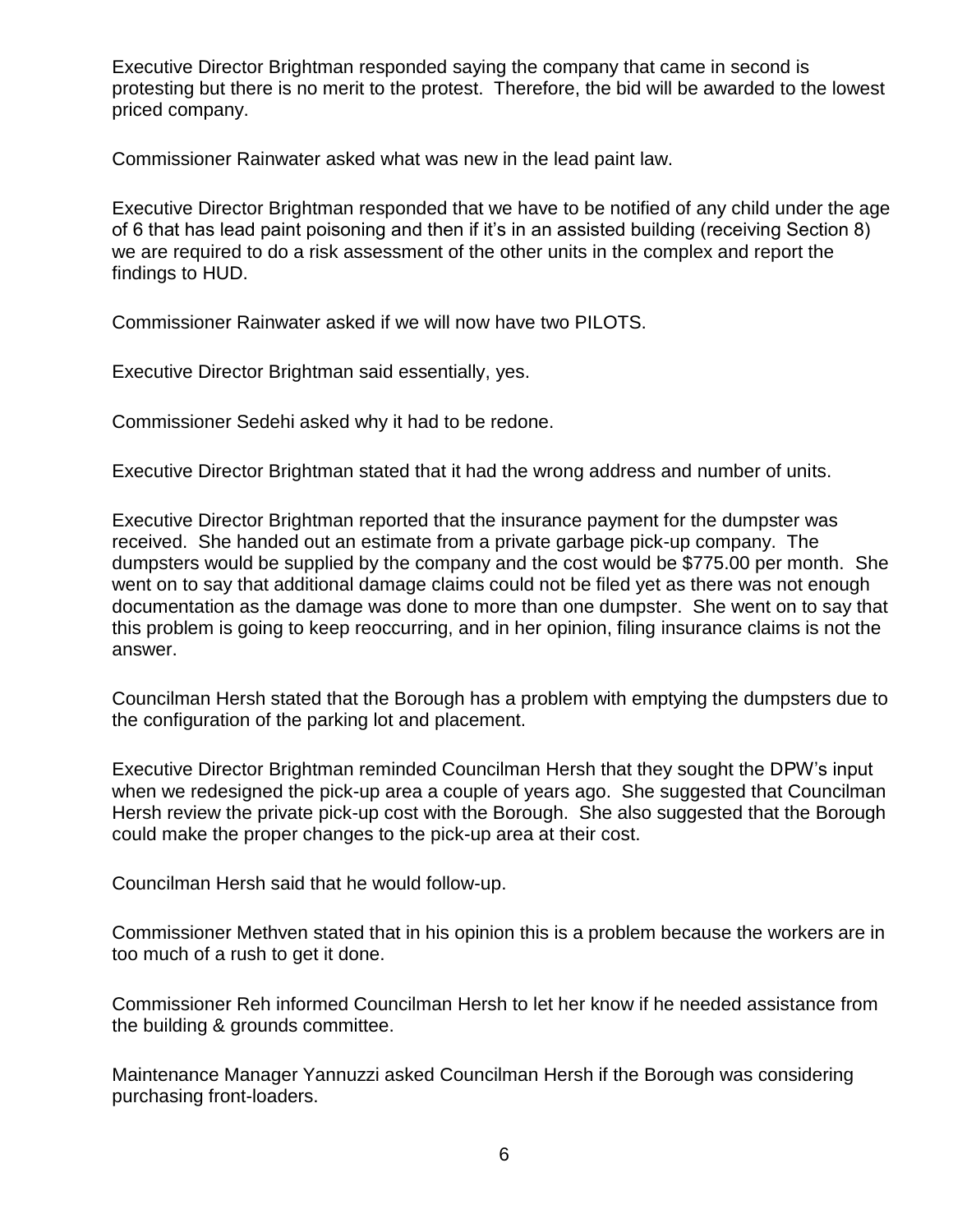Executive Director Brightman responded saying the company that came in second is protesting but there is no merit to the protest. Therefore, the bid will be awarded to the lowest priced company.

Commissioner Rainwater asked what was new in the lead paint law.

Executive Director Brightman responded that we have to be notified of any child under the age of 6 that has lead paint poisoning and then if it's in an assisted building (receiving Section 8) we are required to do a risk assessment of the other units in the complex and report the findings to HUD.

Commissioner Rainwater asked if we will now have two PILOTS.

Executive Director Brightman said essentially, yes.

Commissioner Sedehi asked why it had to be redone.

Executive Director Brightman stated that it had the wrong address and number of units.

Executive Director Brightman reported that the insurance payment for the dumpster was received. She handed out an estimate from a private garbage pick-up company. The dumpsters would be supplied by the company and the cost would be \$775.00 per month. She went on to say that additional damage claims could not be filed yet as there was not enough documentation as the damage was done to more than one dumpster. She went on to say that this problem is going to keep reoccurring, and in her opinion, filing insurance claims is not the answer.

Councilman Hersh stated that the Borough has a problem with emptying the dumpsters due to the configuration of the parking lot and placement.

Executive Director Brightman reminded Councilman Hersh that they sought the DPW's input when we redesigned the pick-up area a couple of years ago. She suggested that Councilman Hersh review the private pick-up cost with the Borough. She also suggested that the Borough could make the proper changes to the pick-up area at their cost.

Councilman Hersh said that he would follow-up.

Commissioner Methven stated that in his opinion this is a problem because the workers are in too much of a rush to get it done.

Commissioner Reh informed Councilman Hersh to let her know if he needed assistance from the building & grounds committee.

Maintenance Manager Yannuzzi asked Councilman Hersh if the Borough was considering purchasing front-loaders.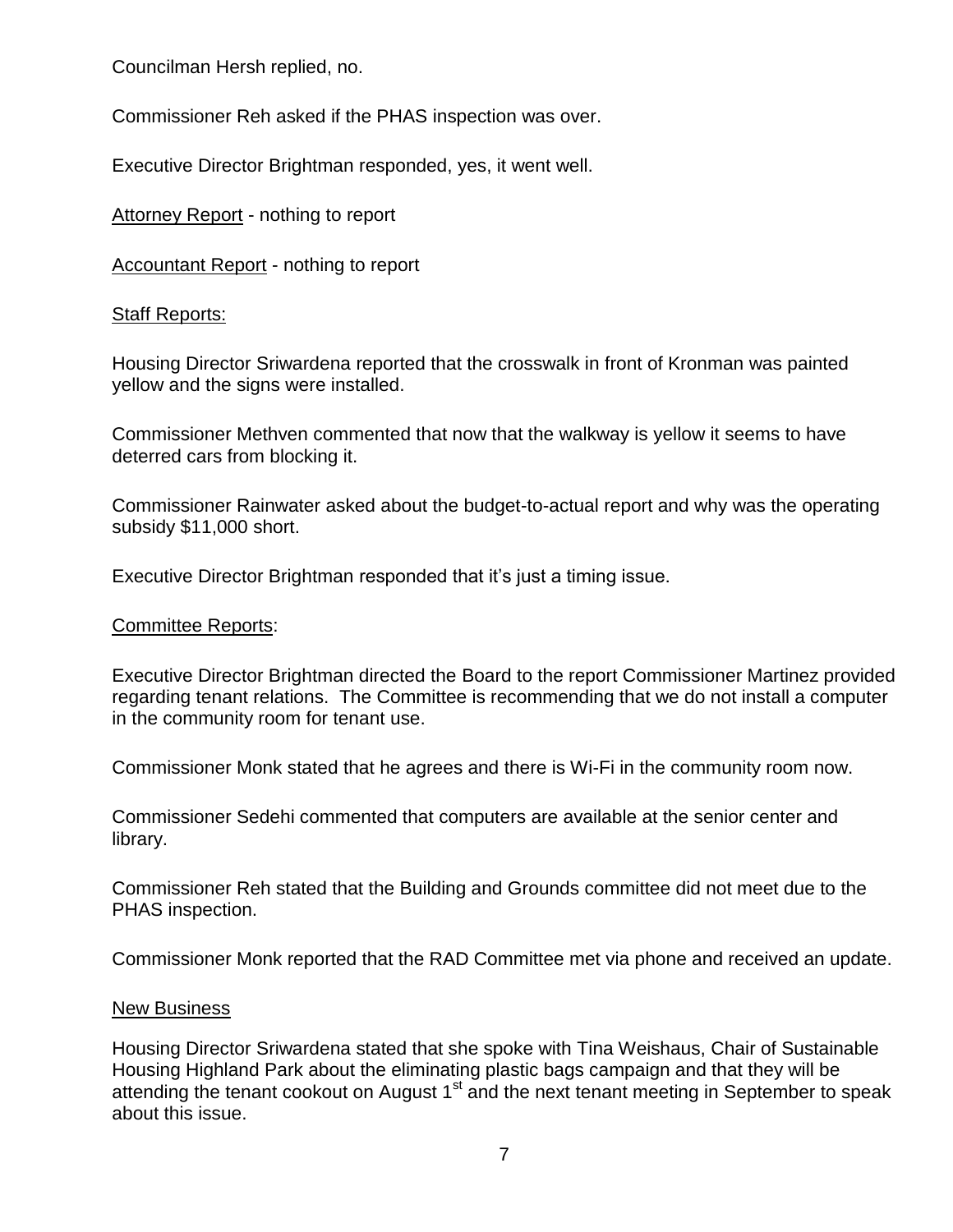Councilman Hersh replied, no.

Commissioner Reh asked if the PHAS inspection was over.

Executive Director Brightman responded, yes, it went well.

Attorney Report - nothing to report

Accountant Report - nothing to report

# Staff Reports:

Housing Director Sriwardena reported that the crosswalk in front of Kronman was painted yellow and the signs were installed.

Commissioner Methven commented that now that the walkway is yellow it seems to have deterred cars from blocking it.

Commissioner Rainwater asked about the budget-to-actual report and why was the operating subsidy \$11,000 short.

Executive Director Brightman responded that it's just a timing issue.

# Committee Reports:

Executive Director Brightman directed the Board to the report Commissioner Martinez provided regarding tenant relations. The Committee is recommending that we do not install a computer in the community room for tenant use.

Commissioner Monk stated that he agrees and there is Wi-Fi in the community room now.

Commissioner Sedehi commented that computers are available at the senior center and library.

Commissioner Reh stated that the Building and Grounds committee did not meet due to the PHAS inspection.

Commissioner Monk reported that the RAD Committee met via phone and received an update.

#### New Business

Housing Director Sriwardena stated that she spoke with Tina Weishaus, Chair of Sustainable Housing Highland Park about the eliminating plastic bags campaign and that they will be attending the tenant cookout on August  $1<sup>st</sup>$  and the next tenant meeting in September to speak about this issue.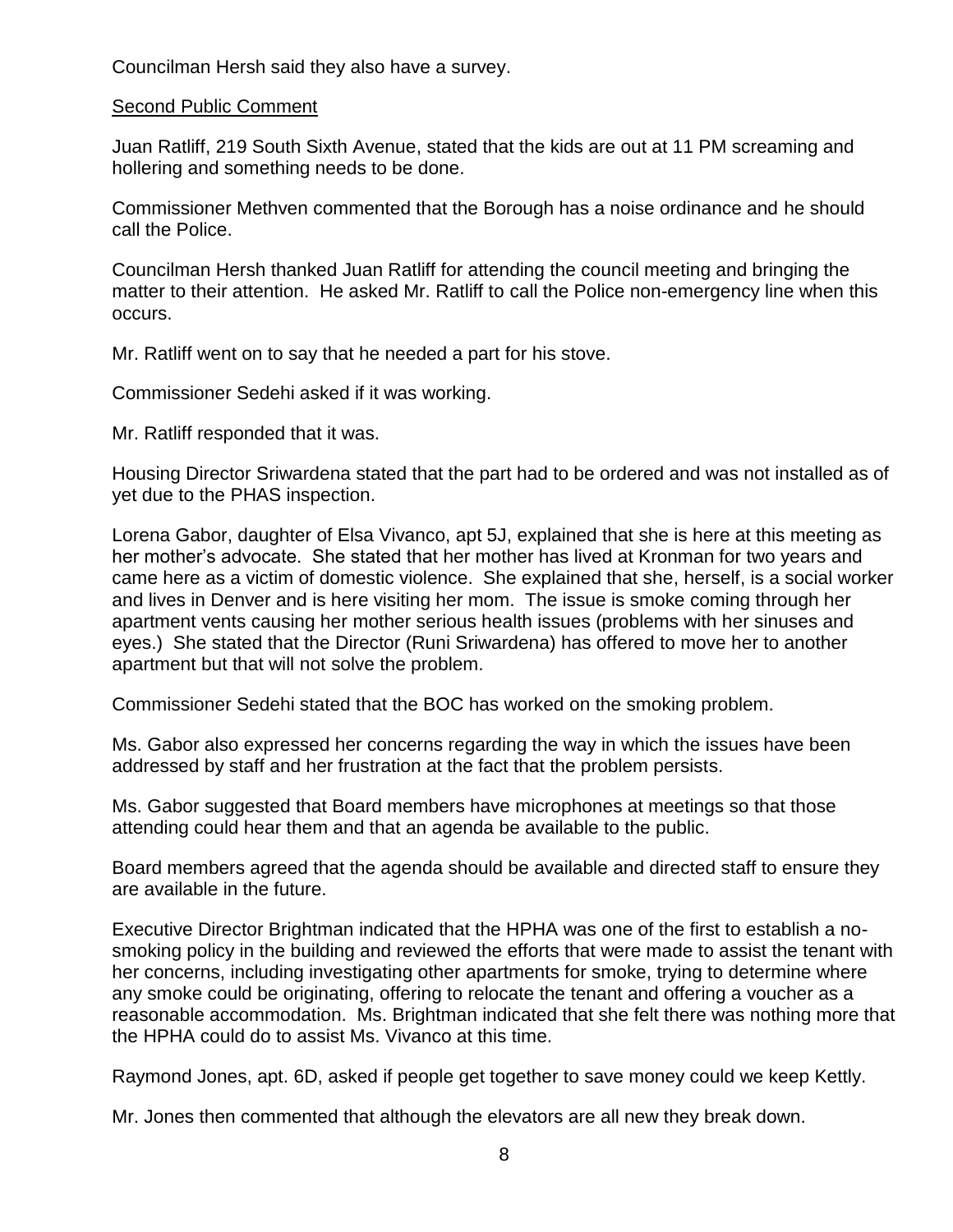Councilman Hersh said they also have a survey.

#### Second Public Comment

Juan Ratliff, 219 South Sixth Avenue, stated that the kids are out at 11 PM screaming and hollering and something needs to be done.

Commissioner Methven commented that the Borough has a noise ordinance and he should call the Police.

Councilman Hersh thanked Juan Ratliff for attending the council meeting and bringing the matter to their attention. He asked Mr. Ratliff to call the Police non-emergency line when this occurs.

Mr. Ratliff went on to say that he needed a part for his stove.

Commissioner Sedehi asked if it was working.

Mr. Ratliff responded that it was.

Housing Director Sriwardena stated that the part had to be ordered and was not installed as of yet due to the PHAS inspection.

Lorena Gabor, daughter of Elsa Vivanco, apt 5J, explained that she is here at this meeting as her mother's advocate. She stated that her mother has lived at Kronman for two years and came here as a victim of domestic violence. She explained that she, herself, is a social worker and lives in Denver and is here visiting her mom. The issue is smoke coming through her apartment vents causing her mother serious health issues (problems with her sinuses and eyes.) She stated that the Director (Runi Sriwardena) has offered to move her to another apartment but that will not solve the problem.

Commissioner Sedehi stated that the BOC has worked on the smoking problem.

Ms. Gabor also expressed her concerns regarding the way in which the issues have been addressed by staff and her frustration at the fact that the problem persists.

Ms. Gabor suggested that Board members have microphones at meetings so that those attending could hear them and that an agenda be available to the public.

Board members agreed that the agenda should be available and directed staff to ensure they are available in the future.

Executive Director Brightman indicated that the HPHA was one of the first to establish a nosmoking policy in the building and reviewed the efforts that were made to assist the tenant with her concerns, including investigating other apartments for smoke, trying to determine where any smoke could be originating, offering to relocate the tenant and offering a voucher as a reasonable accommodation. Ms. Brightman indicated that she felt there was nothing more that the HPHA could do to assist Ms. Vivanco at this time.

Raymond Jones, apt. 6D, asked if people get together to save money could we keep Kettly.

Mr. Jones then commented that although the elevators are all new they break down.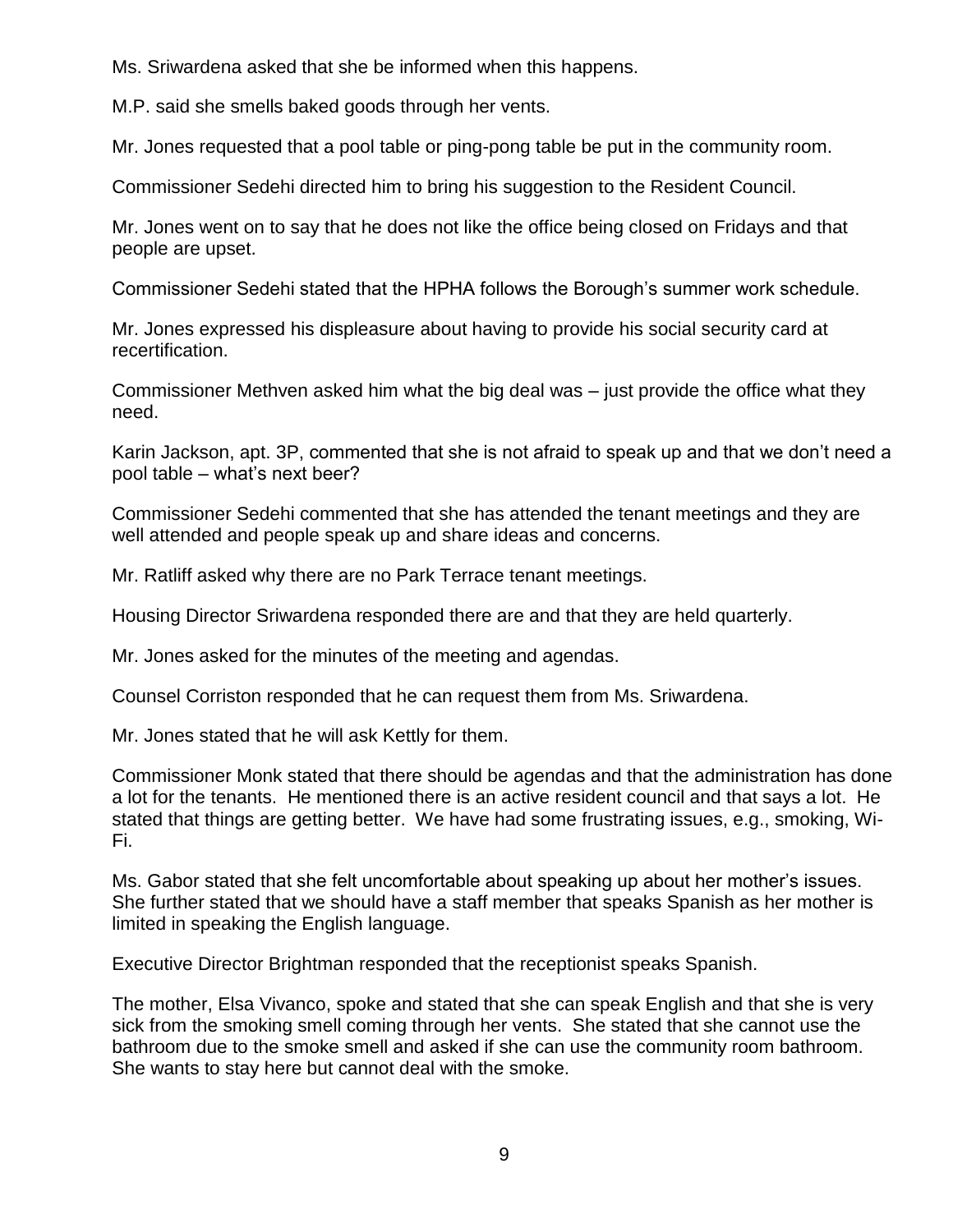Ms. Sriwardena asked that she be informed when this happens.

M.P. said she smells baked goods through her vents.

Mr. Jones requested that a pool table or ping-pong table be put in the community room.

Commissioner Sedehi directed him to bring his suggestion to the Resident Council.

Mr. Jones went on to say that he does not like the office being closed on Fridays and that people are upset.

Commissioner Sedehi stated that the HPHA follows the Borough's summer work schedule.

Mr. Jones expressed his displeasure about having to provide his social security card at recertification.

Commissioner Methven asked him what the big deal was – just provide the office what they need.

Karin Jackson, apt. 3P, commented that she is not afraid to speak up and that we don't need a pool table – what's next beer?

Commissioner Sedehi commented that she has attended the tenant meetings and they are well attended and people speak up and share ideas and concerns.

Mr. Ratliff asked why there are no Park Terrace tenant meetings.

Housing Director Sriwardena responded there are and that they are held quarterly.

Mr. Jones asked for the minutes of the meeting and agendas.

Counsel Corriston responded that he can request them from Ms. Sriwardena.

Mr. Jones stated that he will ask Kettly for them.

Commissioner Monk stated that there should be agendas and that the administration has done a lot for the tenants. He mentioned there is an active resident council and that says a lot. He stated that things are getting better. We have had some frustrating issues, e.g., smoking, Wi-Fi.

Ms. Gabor stated that she felt uncomfortable about speaking up about her mother's issues. She further stated that we should have a staff member that speaks Spanish as her mother is limited in speaking the English language.

Executive Director Brightman responded that the receptionist speaks Spanish.

The mother, Elsa Vivanco, spoke and stated that she can speak English and that she is very sick from the smoking smell coming through her vents. She stated that she cannot use the bathroom due to the smoke smell and asked if she can use the community room bathroom. She wants to stay here but cannot deal with the smoke.